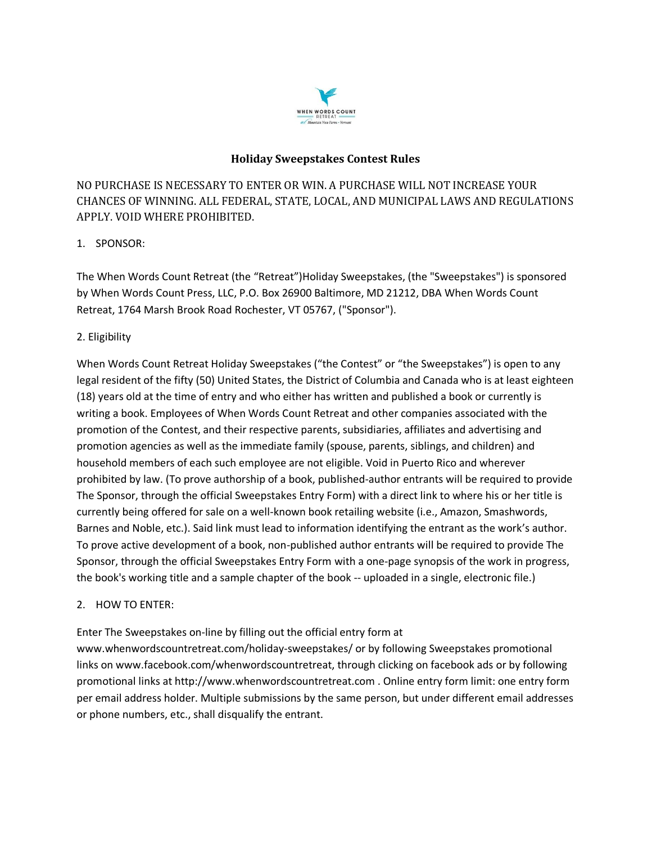

# **Holiday Sweepstakes Contest Rules**

NO PURCHASE IS NECESSARY TO ENTER OR WIN. A PURCHASE WILL NOT INCREASE YOUR CHANCES OF WINNING. ALL FEDERAL, STATE, LOCAL, AND MUNICIPAL LAWS AND REGULATIONS APPLY. VOID WHERE PROHIBITED.

# 1. SPONSOR:

The When Words Count Retreat (the "Retreat")Holiday Sweepstakes, (the "Sweepstakes") is sponsored by When Words Count Press, LLC, P.O. Box 26900 Baltimore, MD 21212, DBA When Words Count Retreat, 1764 Marsh Brook Road Rochester, VT 05767, ("Sponsor").

# 2. Eligibility

When Words Count Retreat Holiday Sweepstakes ("the Contest" or "the Sweepstakes") is open to any legal resident of the fifty (50) United States, the District of Columbia and Canada who is at least eighteen (18) years old at the time of entry and who either has written and published a book or currently is writing a book. Employees of When Words Count Retreat and other companies associated with the promotion of the Contest, and their respective parents, subsidiaries, affiliates and advertising and promotion agencies as well as the immediate family (spouse, parents, siblings, and children) and household members of each such employee are not eligible. Void in Puerto Rico and wherever prohibited by law. (To prove authorship of a book, published-author entrants will be required to provide The Sponsor, through the official Sweepstakes Entry Form) with a direct link to where his or her title is currently being offered for sale on a well-known book retailing website (i.e., Amazon, Smashwords, Barnes and Noble, etc.). Said link must lead to information identifying the entrant as the work's author. To prove active development of a book, non-published author entrants will be required to provide The Sponsor, through the official Sweepstakes Entry Form with a one-page synopsis of the work in progress, the book's working title and a sample chapter of the book -- uploaded in a single, electronic file.)

#### 2. HOW TO ENTER:

Enter The Sweepstakes on-line by filling out the official entry form at

www.whenwordscountretreat.com/holiday-sweepstakes/ or by following Sweepstakes promotional links on www.facebook.com/whenwordscountretreat, through clicking on facebook ads or by following promotional links at http://www.whenwordscountretreat.com . Online entry form limit: one entry form per email address holder. Multiple submissions by the same person, but under different email addresses or phone numbers, etc., shall disqualify the entrant.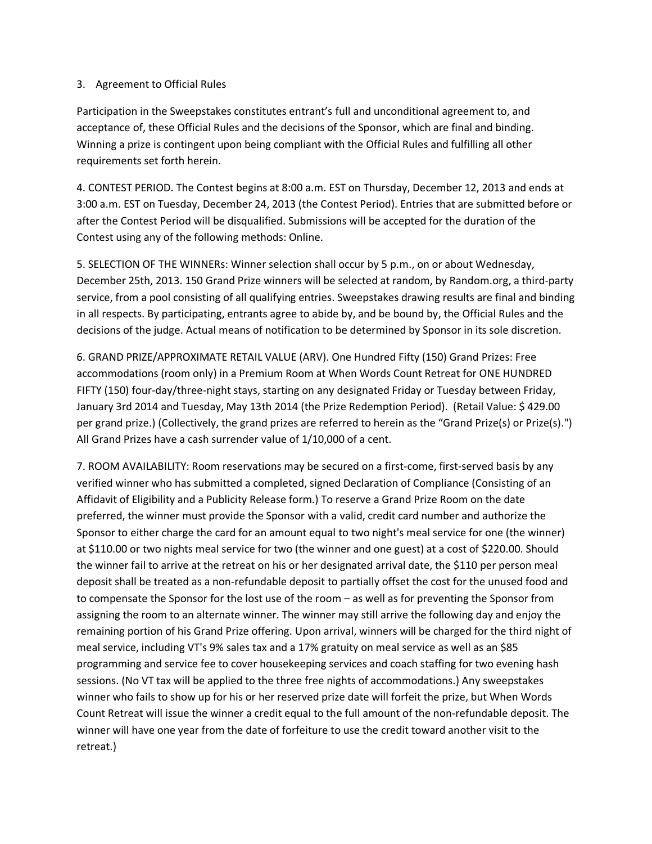#### 3. Agreement to Official Rules

Participation in the Sweepstakes constitutes entrant's full and unconditional agreement to, and acceptance of, these Official Rules and the decisions of the Sponsor, which are final and binding. Winning a prize is contingent upon being compliant with the Official Rules and fulfilling all other requirements set forth herein.

4. CONTEST PERIOD. The Contest begins at 8:00 a.m. EST on Thursday, December 12, 2013 and ends at 3:00 a.m. EST on Tuesday, December 24, 2013 (the Contest Period). Entries that are submitted before or after the Contest Period will be disqualified. Submissions will be accepted for the duration of the Contest using any of the following methods: Online.

5. SELECTION OF THE WINNERs: Winner selection shall occur by 5 p.m., on or about Wednesday, December 25th, 2013. 150 Grand Prize winners will be selected at random, by Random.org, a third-party service, from a pool consisting of all qualifying entries. Sweepstakes drawing results are final and binding in all respects. By participating, entrants agree to abide by, and be bound by, the Official Rules and the decisions of the judge. Actual means of notification to be determined by Sponsor in its sole discretion.

6. GRAND PRIZE/APPROXIMATE RETAIL VALUE (ARV). One Hundred Fifty (150) Grand Prizes: Free accommodations (room only) in a Premium Room at When Words Count Retreat for ONE HUNDRED FIFTY (150) four-day/three-night stays, starting on any designated Friday or Tuesday between Friday, January 3rd 2014 and Tuesday, May 13th 2014 (the Prize Redemption Period). (Retail Value: \$ 429.00 per grand prize.) (Collectively, the grand prizes are referred to herein as the "Grand Prize(s) or Prize(s).") All Grand Prizes have a cash surrender value of 1/10,000 of a cent.

7. ROOM AVAILABILITY: Room reservations may be secured on a first-come, first-served basis by any verified winner who has submitted a completed, signed Declaration of Compliance (Consisting of an Affidavit of Eligibility and a Publicity Release form.) To reserve a Grand Prize Room on the date preferred, the winner must provide the Sponsor with a valid, credit card number and authorize the Sponsor to either charge the card for an amount equal to two night's meal service for one (the winner) at \$110.00 or two nights meal service for two (the winner and one guest) at a cost of \$220.00. Should the winner fail to arrive at the retreat on his or her designated arrival date, the \$110 per person meal deposit shall be treated as a non-refundable deposit to partially offset the cost for the unused food and to compensate the Sponsor for the lost use of the room – as well as for preventing the Sponsor from assigning the room to an alternate winner. The winner may still arrive the following day and enjoy the remaining portion of his Grand Prize offering. Upon arrival, winners will be charged for the third night of meal service, including VT's 9% sales tax and a 17% gratuity on meal service as well as an \$85 programming and service fee to cover housekeeping services and coach staffing for two evening hash sessions. (No VT tax will be applied to the three free nights of accommodations.) Any sweepstakes winner who fails to show up for his or her reserved prize date will forfeit the prize, but When Words Count Retreat will issue the winner a credit equal to the full amount of the non-refundable deposit. The winner will have one year from the date of forfeiture to use the credit toward another visit to the retreat.)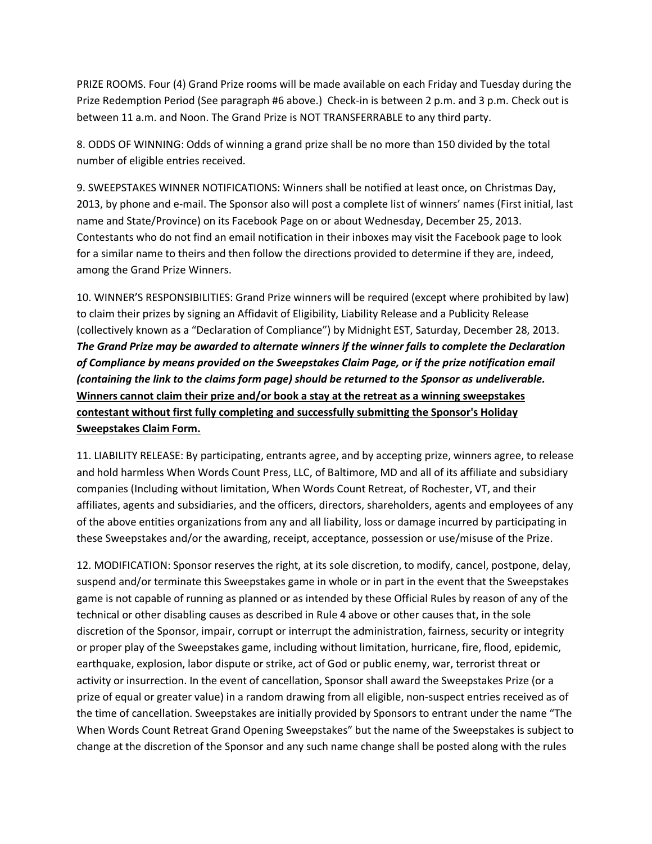PRIZE ROOMS. Four (4) Grand Prize rooms will be made available on each Friday and Tuesday during the Prize Redemption Period (See paragraph #6 above.) Check-in is between 2 p.m. and 3 p.m. Check out is between 11 a.m. and Noon. The Grand Prize is NOT TRANSFERRABLE to any third party.

8. ODDS OF WINNING: Odds of winning a grand prize shall be no more than 150 divided by the total number of eligible entries received.

9. SWEEPSTAKES WINNER NOTIFICATIONS: Winners shall be notified at least once, on Christmas Day, 2013, by phone and e-mail. The Sponsor also will post a complete list of winners' names (First initial, last name and State/Province) on its Facebook Page on or about Wednesday, December 25, 2013. Contestants who do not find an email notification in their inboxes may visit the Facebook page to look for a similar name to theirs and then follow the directions provided to determine if they are, indeed, among the Grand Prize Winners.

10. WINNER'S RESPONSIBILITIES: Grand Prize winners will be required (except where prohibited by law) to claim their prizes by signing an Affidavit of Eligibility, Liability Release and a Publicity Release (collectively known as a "Declaration of Compliance") by Midnight EST, Saturday, December 28, 2013. *The Grand Prize may be awarded to alternate winners if the winner fails to complete the Declaration of Compliance by means provided on the Sweepstakes Claim Page, or if the prize notification email (containing the link to the claims form page) should be returned to the Sponsor as undeliverable.*  **Winners cannot claim their prize and/or book a stay at the retreat as a winning sweepstakes contestant without first fully completing and successfully submitting the Sponsor's Holiday Sweepstakes Claim Form.** 

11. LIABILITY RELEASE: By participating, entrants agree, and by accepting prize, winners agree, to release and hold harmless When Words Count Press, LLC, of Baltimore, MD and all of its affiliate and subsidiary companies (Including without limitation, When Words Count Retreat, of Rochester, VT, and their affiliates, agents and subsidiaries, and the officers, directors, shareholders, agents and employees of any of the above entities organizations from any and all liability, loss or damage incurred by participating in these Sweepstakes and/or the awarding, receipt, acceptance, possession or use/misuse of the Prize.

12. MODIFICATION: Sponsor reserves the right, at its sole discretion, to modify, cancel, postpone, delay, suspend and/or terminate this Sweepstakes game in whole or in part in the event that the Sweepstakes game is not capable of running as planned or as intended by these Official Rules by reason of any of the technical or other disabling causes as described in Rule 4 above or other causes that, in the sole discretion of the Sponsor, impair, corrupt or interrupt the administration, fairness, security or integrity or proper play of the Sweepstakes game, including without limitation, hurricane, fire, flood, epidemic, earthquake, explosion, labor dispute or strike, act of God or public enemy, war, terrorist threat or activity or insurrection. In the event of cancellation, Sponsor shall award the Sweepstakes Prize (or a prize of equal or greater value) in a random drawing from all eligible, non-suspect entries received as of the time of cancellation. Sweepstakes are initially provided by Sponsors to entrant under the name "The When Words Count Retreat Grand Opening Sweepstakes" but the name of the Sweepstakes is subject to change at the discretion of the Sponsor and any such name change shall be posted along with the rules